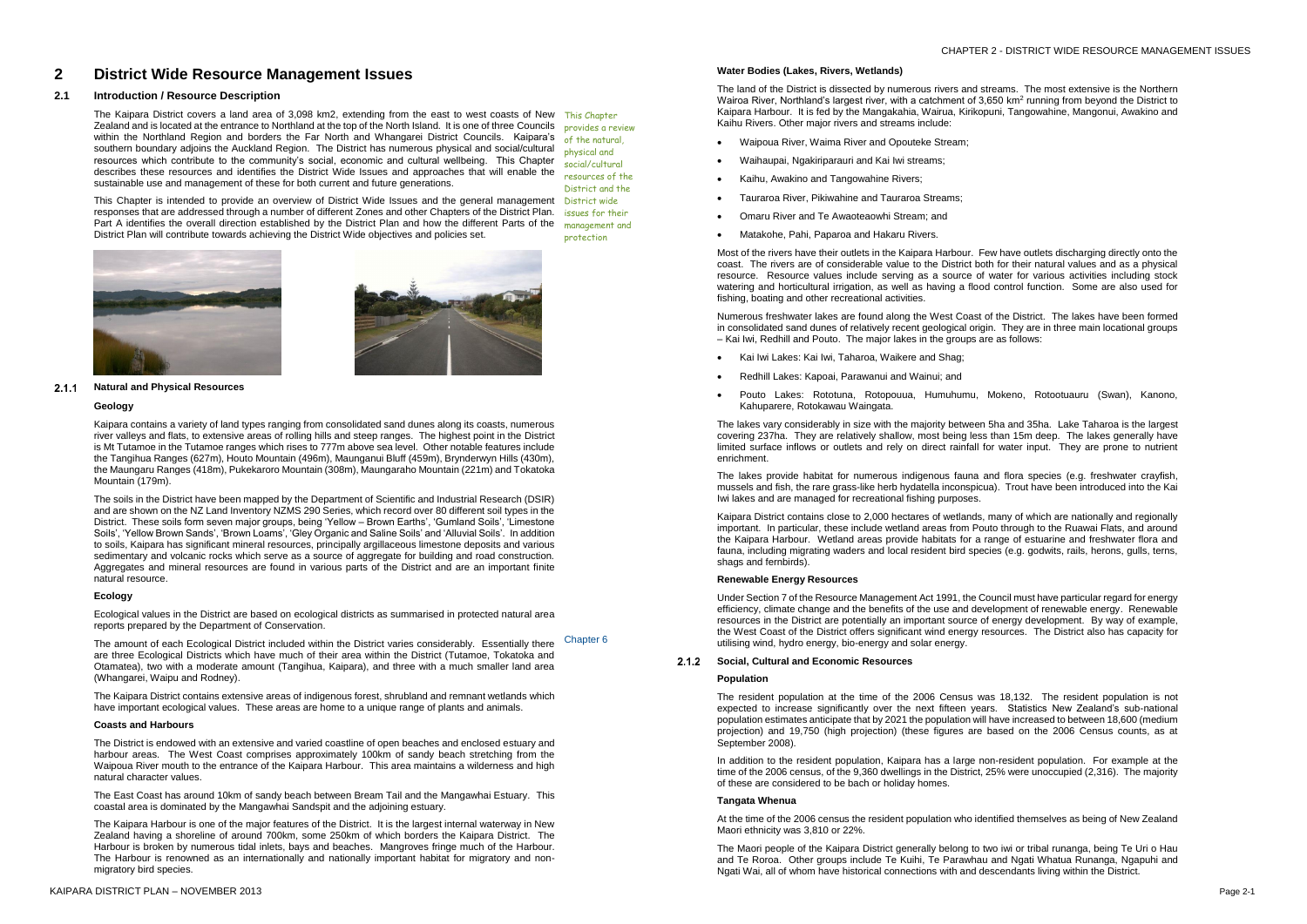# **2 District Wide Resource Management Issues**

## **2.1 Introduction / Resource Description**

The Kaipara District covers a land area of 3,098 km2, extending from the east to west coasts of New This Chapter Zealand and is located at the entrance to Northland at the top of the North Island. It is one of three Councils provides a review within the Northland Region and borders the Far North and Whangarei District Councils. Kaipara's <sub>of the natural,</sub> southern boundary adjoins the Auckland Region. The District has numerous physical and social/cultural resources which contribute to the community's social, economic and cultural wellbeing. This Chapter describes these resources and identifies the District Wide Issues and approaches that will enable the sustainable use and management of these for both current and future generations.

This Chapter is intended to provide an overview of District Wide Issues and the general management District wide responses that are addressed through a number of different Zones and other Chapters of the District Plan. *issues for their* 

#### **Natural and Physical Resources**  $2.1.1$

Part A identifies the overall direction established by the District Plan and how the different Parts of the District Plan will contribute towards achieving the District Wide objectives and policies set.





physical and



#### **Geology**

Kaipara contains a variety of land types ranging from consolidated sand dunes along its coasts, numerous river valleys and flats, to extensive areas of rolling hills and steep ranges. The highest point in the District is Mt Tutamoe in the Tutamoe ranges which rises to 777m above sea level. Other notable features include the Tangihua Ranges (627m), Houto Mountain (496m), Maunganui Bluff (459m), Brynderwyn Hills (430m), the Maungaru Ranges (418m), Pukekaroro Mountain (308m), Maungaraho Mountain (221m) and Tokatoka Mountain (179m).

 $\mathbf{r}$ 

The amount of each Ecological District included within the District varies considerably. Essentially there are three Ecological Districts which have much of their area within the District (Tutamoe, Tokatoka and Otamatea), two with a moderate amount (Tangihua, Kaipara), and three with a much smaller land area (Whangarei, Waipu and Rodney). Chapter 6

The soils in the District have been mapped by the Department of Scientific and Industrial Research (DSIR) and are shown on the NZ Land Inventory NZMS 290 Series, which record over 80 different soil types in the District. These soils form seven major groups, being 'Yellow – Brown Earths', 'Gumland Soils', 'Limestone Soils', 'Yellow Brown Sands', 'Brown Loams', 'Gley Organic and Saline Soils' and 'Alluvial Soils'. In addition to soils, Kaipara has significant mineral resources, principally argillaceous limestone deposits and various sedimentary and volcanic rocks which serve as a source of aggregate for building and road construction. Aggregates and mineral resources are found in various parts of the District and are an important finite natural resource.

## **Ecology**

Ecological values in the District are based on ecological districts as summarised in protected natural area reports prepared by the Department of Conservation.

The Kaipara District contains extensive areas of indigenous forest, shrubland and remnant wetlands which have important ecological values. These areas are home to a unique range of plants and animals.

#### **Coasts and Harbours**

The District is endowed with an extensive and varied coastline of open beaches and enclosed estuary and harbour areas. The West Coast comprises approximately 100km of sandy beach stretching from the Waipoua River mouth to the entrance of the Kaipara Harbour. This area maintains a wilderness and high natural character values.

The East Coast has around 10km of sandy beach between Bream Tail and the Mangawhai Estuary. This coastal area is dominated by the Mangawhai Sandspit and the adjoining estuary.

The Kaipara Harbour is one of the major features of the District. It is the largest internal waterway in New Zealand having a shoreline of around 700km, some 250km of which borders the Kaipara District. The Harbour is broken by numerous tidal inlets, bays and beaches. Mangroves fringe much of the Harbour. The Harbour is renowned as an internationally and nationally important habitat for migratory and nonmigratory bird species.

### **Water Bodies (Lakes, Rivers, Wetlands)**

The land of the District is dissected by numerous rivers and streams. The most extensive is the Northern Wairoa River, Northland's largest river, with a catchment of 3,650 km<sup>2</sup> running from beyond the District to Kaipara Harbour. It is fed by the Mangakahia, Wairua, Kirikopuni, Tangowahine, Mangonui, Awakino and Kaihu Rivers. Other major rivers and streams include:

- Waipoua River, Waima River and Opouteke Stream;
- Waihaupai, Ngakiriparauri and Kai Iwi streams;
- Kaihu, Awakino and Tangowahine Rivers;
- Tauraroa River, Pikiwahine and Tauraroa Streams;
- Omaru River and Te Awaoteaowhi Stream; and
- Matakohe, Pahi, Paparoa and Hakaru Rivers.

Most of the rivers have their outlets in the Kaipara Harbour. Few have outlets discharging directly onto the coast. The rivers are of considerable value to the District both for their natural values and as a physical resource. Resource values include serving as a source of water for various activities including stock watering and horticultural irrigation, as well as having a flood control function. Some are also used for fishing, boating and other recreational activities.

Numerous freshwater lakes are found along the West Coast of the District. The lakes have been formed in consolidated sand dunes of relatively recent geological origin. They are in three main locational groups – Kai Iwi, Redhill and Pouto. The major lakes in the groups are as follows:

- Kai Iwi Lakes: Kai Iwi, Taharoa, Waikere and Shag;
- Redhill Lakes: Kapoai, Parawanui and Wainui; and
- Pouto Lakes: Rototuna, Rotopouua, Humuhumu, Mokeno, Rotootuauru (Swan), Kanono, Kahuparere, Rotokawau Waingata.

The lakes vary considerably in size with the majority between 5ha and 35ha. Lake Taharoa is the largest covering 237ha. They are relatively shallow, most being less than 15m deep. The lakes generally have limited surface inflows or outlets and rely on direct rainfall for water input. They are prone to nutrient enrichment.

The lakes provide habitat for numerous indigenous fauna and flora species (e.g. freshwater crayfish, mussels and fish, the rare grass-like herb hydatella inconspicua). Trout have been introduced into the Kai Iwi lakes and are managed for recreational fishing purposes.

Kaipara District contains close to 2,000 hectares of wetlands, many of which are nationally and regionally important. In particular, these include wetland areas from Pouto through to the Ruawai Flats, and around the Kaipara Harbour. Wetland areas provide habitats for a range of estuarine and freshwater flora and fauna, including migrating waders and local resident bird species (e.g. godwits, rails, herons, gulls, terns, shags and fernbirds).

#### **Renewable Energy Resources**

Under Section 7 of the Resource Management Act 1991, the Council must have particular regard for energy efficiency, climate change and the benefits of the use and development of renewable energy. Renewable resources in the District are potentially an important source of energy development. By way of example, the West Coast of the District offers significant wind energy resources. The District also has capacity for utilising wind, hydro energy, bio-energy and solar energy.

#### **Social, Cultural and Economic Resources**

#### **Population**

The resident population at the time of the 2006 Census was 18,132. The resident population is not expected to increase significantly over the next fifteen years. Statistics New Zealand's sub-national population estimates anticipate that by 2021 the population will have increased to between 18,600 (medium projection) and 19,750 (high projection) (these figures are based on the 2006 Census counts, as at September 2008).

In addition to the resident population, Kaipara has a large non-resident population. For example at the time of the 2006 census, of the 9,360 dwellings in the District, 25% were unoccupied (2,316). The majority of these are considered to be bach or holiday homes.

### **Tangata Whenua**

At the time of the 2006 census the resident population who identified themselves as being of New Zealand Maori ethnicity was 3,810 or 22%.

The Maori people of the Kaipara District generally belong to two iwi or tribal runanga, being Te Uri o Hau and Te Roroa. Other groups include Te Kuihi, Te Parawhau and Ngati Whatua Runanga, Ngapuhi and Ngati Wai, all of whom have historical connections with and descendants living within the District.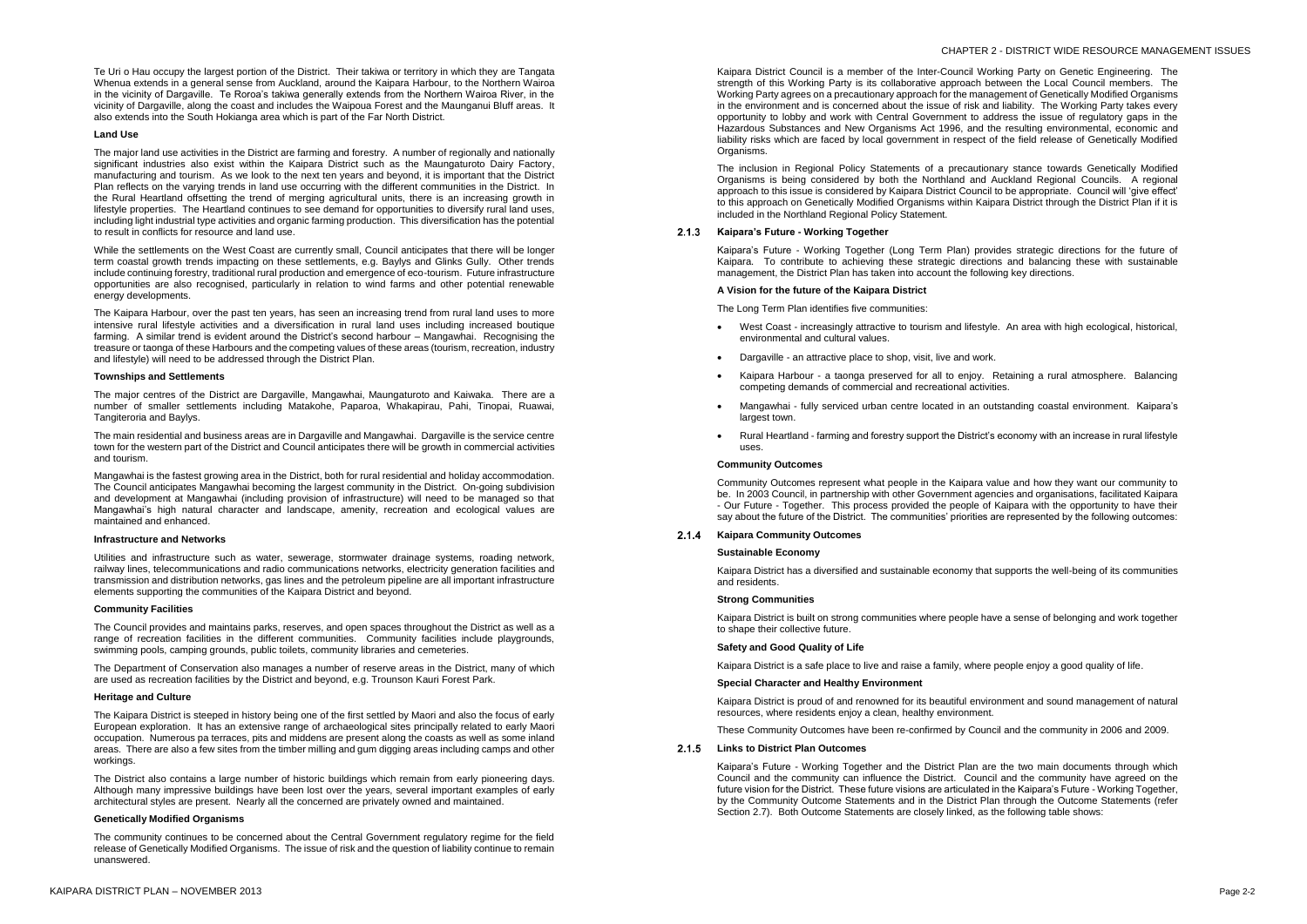## CHAPTER 2 - DISTRICT WIDE RESOURCE MANAGEMENT ISSUES

Te Uri o Hau occupy the largest portion of the District. Their takiwa or territory in which they are Tangata Whenua extends in a general sense from Auckland, around the Kaipara Harbour, to the Northern Wairoa in the vicinity of Dargaville. Te Roroa's takiwa generally extends from the Northern Wairoa River, in the vicinity of Dargaville, along the coast and includes the Waipoua Forest and the Maunganui Bluff areas. It also extends into the South Hokianga area which is part of the Far North District.

#### **Land Use**

The major land use activities in the District are farming and forestry. A number of regionally and nationally significant industries also exist within the Kaipara District such as the Maungaturoto Dairy Factory, manufacturing and tourism. As we look to the next ten years and beyond, it is important that the District Plan reflects on the varying trends in land use occurring with the different communities in the District. In the Rural Heartland offsetting the trend of merging agricultural units, there is an increasing growth in lifestyle properties. The Heartland continues to see demand for opportunities to diversify rural land uses, including light industrial type activities and organic farming production. This diversification has the potential to result in conflicts for resource and land use.

While the settlements on the West Coast are currently small, Council anticipates that there will be longer term coastal growth trends impacting on these settlements, e.g. Baylys and Glinks Gully. Other trends include continuing forestry, traditional rural production and emergence of eco-tourism. Future infrastructure opportunities are also recognised, particularly in relation to wind farms and other potential renewable energy developments.

The Kaipara Harbour, over the past ten years, has seen an increasing trend from rural land uses to more intensive rural lifestyle activities and a diversification in rural land uses including increased boutique farming. A similar trend is evident around the District's second harbour – Mangawhai. Recognising the treasure or taonga of these Harbours and the competing values of these areas (tourism, recreation, industry and lifestyle) will need to be addressed through the District Plan.

#### **Townships and Settlements**

The major centres of the District are Dargaville, Mangawhai, Maungaturoto and Kaiwaka. There are a number of smaller settlements including Matakohe, Paparoa, Whakapirau, Pahi, Tinopai, Ruawai, Tangiteroria and Baylys.

The main residential and business areas are in Dargaville and Mangawhai. Dargaville is the service centre town for the western part of the District and Council anticipates there will be growth in commercial activities and tourism.

Mangawhai is the fastest growing area in the District, both for rural residential and holiday accommodation. The Council anticipates Mangawhai becoming the largest community in the District. On-going subdivision and development at Mangawhai (including provision of infrastructure) will need to be managed so that Mangawhai's high natural character and landscape, amenity, recreation and ecological values are maintained and enhanced.

#### **Infrastructure and Networks**

Utilities and infrastructure such as water, sewerage, stormwater drainage systems, roading network, railway lines, telecommunications and radio communications networks, electricity generation facilities and transmission and distribution networks, gas lines and the petroleum pipeline are all important infrastructure elements supporting the communities of the Kaipara District and beyond.

#### **Community Facilities**

The Council provides and maintains parks, reserves, and open spaces throughout the District as well as a range of recreation facilities in the different communities. Community facilities include playgrounds, swimming pools, camping grounds, public toilets, community libraries and cemeteries.

#### $2.1.4$ **Kaipara Community Outcomes**

The Department of Conservation also manages a number of reserve areas in the District, many of which are used as recreation facilities by the District and beyond, e.g. Trounson Kauri Forest Park.

## **Heritage and Culture**

The Kaipara District is steeped in history being one of the first settled by Maori and also the focus of early European exploration. It has an extensive range of archaeological sites principally related to early Maori occupation. Numerous pa terraces, pits and middens are present along the coasts as well as some inland areas. There are also a few sites from the timber milling and gum digging areas including camps and other workings.

The District also contains a large number of historic buildings which remain from early pioneering days. Although many impressive buildings have been lost over the years, several important examples of early architectural styles are present. Nearly all the concerned are privately owned and maintained.

#### **Genetically Modified Organisms**

The community continues to be concerned about the Central Government regulatory regime for the field release of Genetically Modified Organisms. The issue of risk and the question of liability continue to remain unanswered.

Kaipara District Council is a member of the Inter-Council Working Party on Genetic Engineering. The strength of this Working Party is its collaborative approach between the Local Council members. The Working Party agrees on a precautionary approach for the management of Genetically Modified Organisms in the environment and is concerned about the issue of risk and liability. The Working Party takes every opportunity to lobby and work with Central Government to address the issue of regulatory gaps in the Hazardous Substances and New Organisms Act 1996, and the resulting environmental, economic and liability risks which are faced by local government in respect of the field release of Genetically Modified Organisms.

The inclusion in Regional Policy Statements of a precautionary stance towards Genetically Modified Organisms is being considered by both the Northland and Auckland Regional Councils. A regional approach to this issue is considered by Kaipara District Council to be appropriate. Council will 'give effect' to this approach on Genetically Modified Organisms within Kaipara District through the District Plan if it is included in the Northland Regional Policy Statement.

### **Kaipara's Future - Working Together**

Kaipara's Future - Working Together (Long Term Plan) provides strategic directions for the future of Kaipara. To contribute to achieving these strategic directions and balancing these with sustainable management, the District Plan has taken into account the following key directions.

#### **A Vision for the future of the Kaipara District**

The Long Term Plan identifies five communities:

- West Coast increasingly attractive to tourism and lifestyle. An area with high ecological, historical, environmental and cultural values.
- Dargaville an attractive place to shop, visit, live and work.
- Kaipara Harbour a taonga preserved for all to enjoy. Retaining a rural atmosphere. Balancing competing demands of commercial and recreational activities.
- Mangawhai fully serviced urban centre located in an outstanding coastal environment. Kaipara's largest town.
- Rural Heartland farming and forestry support the District's economy with an increase in rural lifestyle uses.

#### **Community Outcomes**

Community Outcomes represent what people in the Kaipara value and how they want our community to be. In 2003 Council, in partnership with other Government agencies and organisations, facilitated Kaipara - Our Future - Together. This process provided the people of Kaipara with the opportunity to have their say about the future of the District. The communities' priorities are represented by the following outcomes:

#### **Sustainable Economy**

Kaipara District has a diversified and sustainable economy that supports the well-being of its communities and residents.

#### **Strong Communities**

Kaipara District is built on strong communities where people have a sense of belonging and work together to shape their collective future.

#### **Safety and Good Quality of Life**

Kaipara District is a safe place to live and raise a family, where people enjoy a good quality of life.

#### **Special Character and Healthy Environment**

Kaipara District is proud of and renowned for its beautiful environment and sound management of natural resources, where residents enjoy a clean, healthy environment.

These Community Outcomes have been re-confirmed by Council and the community in 2006 and 2009.

#### **Links to District Plan Outcomes**

Kaipara's Future - Working Together and the District Plan are the two main documents through which Council and the community can influence the District. Council and the community have agreed on the future vision for the District. These future visions are articulated in the Kaipara's Future - Working Together, by the Community Outcome Statements and in the District Plan through the Outcome Statements (refer Section 2.7). Both Outcome Statements are closely linked, as the following table shows: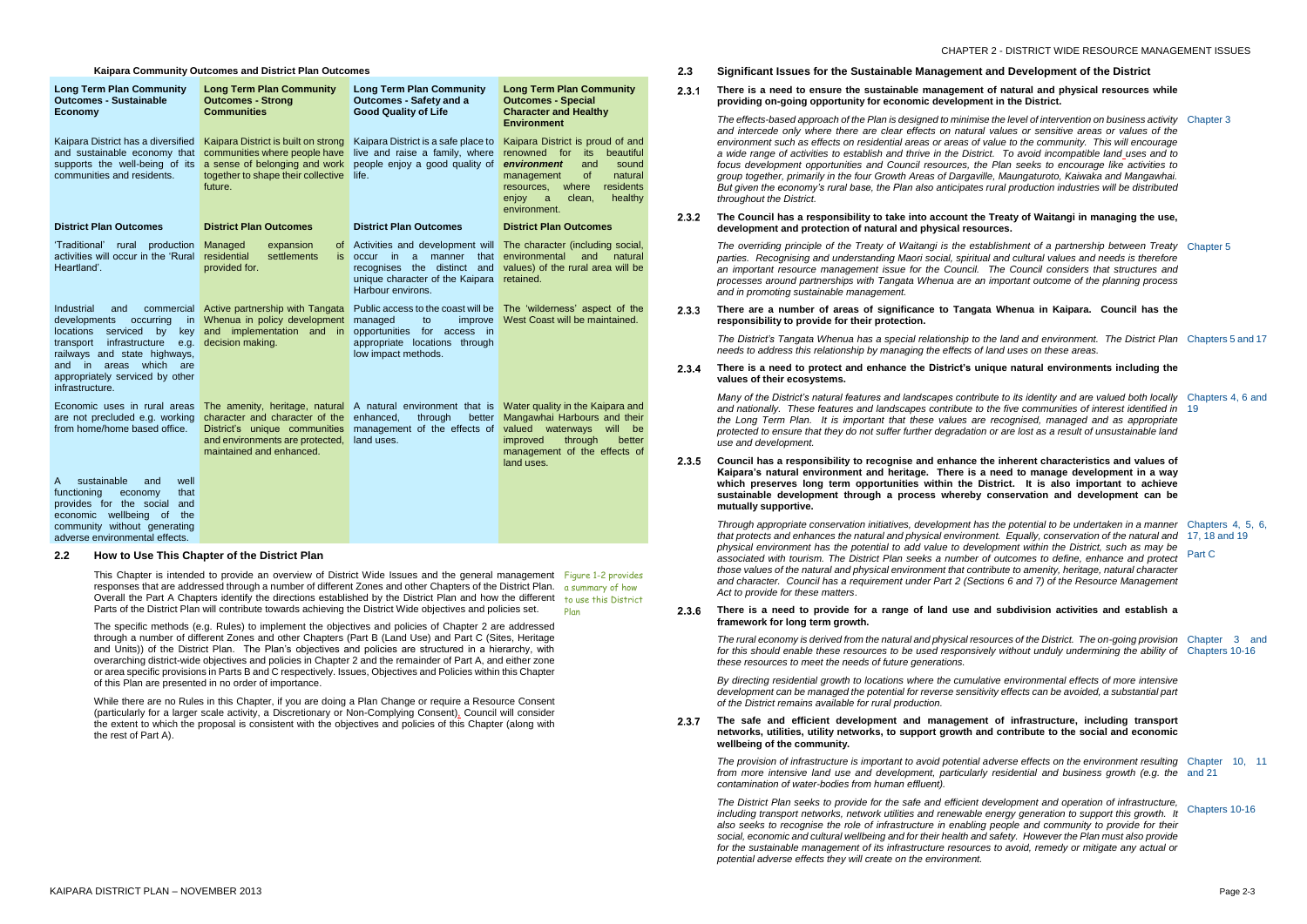**Kaipara Community Outcomes and District Plan Outcomes**

| <b>Long Term Plan Community</b><br><b>Outcomes - Sustainable</b><br><b>Economy</b>                                                                                                                                                                                 | <b>Long Term Plan Community</b><br><b>Outcomes - Strong</b><br><b>Communities</b>                                                                      | <b>Long Term Plan Community</b><br><b>Outcomes - Safety and a</b><br><b>Good Quality of Life</b>                                                                     | <b>Long Term Plan Community</b><br><b>Outcomes - Special</b><br><b>Character and Healthy</b><br><b>Environment</b>                                                                                                               |
|--------------------------------------------------------------------------------------------------------------------------------------------------------------------------------------------------------------------------------------------------------------------|--------------------------------------------------------------------------------------------------------------------------------------------------------|----------------------------------------------------------------------------------------------------------------------------------------------------------------------|----------------------------------------------------------------------------------------------------------------------------------------------------------------------------------------------------------------------------------|
| Kaipara District has a diversified<br>and sustainable economy that<br>supports the well-being of its<br>communities and residents.                                                                                                                                 | Kaipara District is built on strong<br>communities where people have<br>a sense of belonging and work<br>together to shape their collective<br>future. | Kaipara District is a safe place to<br>live and raise a family, where<br>people enjoy a good quality of<br>life.                                                     | Kaipara District is proud of and<br>renowned for<br>beautiful<br>its<br>environment<br>and<br>sound<br><b>of</b><br>management<br>natural<br>residents<br>resources,<br>where<br>healthy<br>enjoy<br>a<br>clean,<br>environment. |
| <b>District Plan Outcomes</b>                                                                                                                                                                                                                                      | <b>District Plan Outcomes</b>                                                                                                                          | <b>District Plan Outcomes</b>                                                                                                                                        | <b>District Plan Outcomes</b>                                                                                                                                                                                                    |
| 'Traditional'<br>rural production<br>activities will occur in the 'Rural<br>Heartland'.                                                                                                                                                                            | Managed<br>expansion<br>0t<br>residential<br>settlements<br>is.<br>provided for.                                                                       | Activities and development will<br>occur in<br>$\mathbf{a}$<br>manner<br>that<br>recognises the distinct and<br>unique character of the Kaipara<br>Harbour environs. | The character (including social,<br>environmental<br>and<br>natural<br>values) of the rural area will be<br>retained.                                                                                                            |
| Industrial<br>and<br>developments<br>occurring<br>in.<br>locations<br>serviced<br>key<br>by<br>infrastructure<br>transport<br>e.g.<br>railways and state highways,<br>which<br>and in<br>areas<br>are<br>appropriately serviced by other<br>infrastructure.        | commercial Active partnership with Tangata<br>Whenua in policy development<br>and implementation and in<br>decision making.                            | Public access to the coast will be<br>managed<br>improve<br>to<br>opportunities for access in<br>appropriate locations through<br>low impact methods.                | The 'wilderness' aspect of the<br>West Coast will be maintained.                                                                                                                                                                 |
| Economic uses in rural areas<br>The amenity, heritage, natural<br>are not precluded e.g. working<br>character and character of the<br>from home/home based office.<br>District's unique communities<br>and environments are protected,<br>maintained and enhanced. |                                                                                                                                                        | A natural environment that is<br>enhanced,<br>through<br>better<br>management of the effects of<br>land uses.                                                        | Water quality in the Kaipara and<br>Mangawhai Harbours and their<br>valued waterways<br>will<br>be<br>through<br><i>improved</i><br>better<br>management of the effects of<br>land uses.                                         |
| sustainable<br>well<br>A<br>and<br>functioning<br>that<br>economy<br>provides for the social<br>and<br>economic wellbeing of<br>the<br>community without generating<br>adverse environmental effects.                                                              |                                                                                                                                                        |                                                                                                                                                                      |                                                                                                                                                                                                                                  |

This Chapter is intended to provide an overview of District Wide Issues and the general management Figure 1-2 provides responses that are addressed through a number of different Zones and other Chapters of the District Plan. a summary of how Overall the Part A Chapters identify the directions established by the District Plan and how the different to use this District Parts of the District Plan will contribute towards achieving the District Wide objectives and policies set.

## **2.2 How to Use This Chapter of the District Plan**

*The overriding principle of the Treaty of Waitangi is the esta parties. Recognising and understanding Maori social, spiritual* an important resource management issue for the Council. *processes around partnerships with Tangata Whenua are an and in promoting sustainable management.*

**2.3.3** There are a number of areas of significance to Tangata **responsibility to provide for their protection.**

**2.3.4** There is a need to protect and enhance the District's uni **values of their ecosystems.**

> *Many of the District's natural features and landscapes contribute for its in the interior* and nationally. These features and landscapes contribute to *the Long Term Plan. It is important that these values are protected to ensure that they do not suffer further degradation use and development.*

The specific methods (e.g. Rules) to implement the objectives and policies of Chapter 2 are addressed through a number of different Zones and other Chapters (Part B (Land Use) and Part C (Sites, Heritage and Units)) of the District Plan. The Plan's objectives and policies are structured in a hierarchy, with overarching district-wide objectives and policies in Chapter 2 and the remainder of Part A, and either zone or area specific provisions in Parts B and C respectively. Issues, Objectives and Policies within this Chapter of this Plan are presented in no order of importance.

2.3.5 Council has a responsibility to recognise and enhance the Kaipara's natural environment and heritage. There is a which preserves long term opportunities within the Dia sustainable development through a process whereby **mutually supportive.**

> *Through appropriate conservation initiatives, development has that protects and enhances the natural and physical environme physical environment has the potential to add value to develd associated with tourism. The District Plan seeks a number of those values of the natural and physical environment that contributes of the natural and physical environment that contributes and character. Council has a requirement under Part 2 (Sections 6 and character. Act to provide for these matters*.

While there are no Rules in this Chapter, if you are doing a Plan Change or require a Resource Consent (particularly for a larger scale activity, a Discretionary or Non-Complying Consent), Council will consider the extent to which the proposal is consistent with the objectives and policies of this Chapter (along with the rest of Part A).

 $2.3.6$ There is a need to provide for a range of land use and **framework for long term growth.**

Plan

**2.3 Significant Issues for the Sustainable Management and Development of the District**

*By directing residential growth to locations where the cumulat development can be managed the potential for reverse sensitiv of the District remains available for rural production.*

**There is a need to ensure the sustainable management of natural and physical resources while**   $2.3.1$ **providing on-going opportunity for economic development in the District.**

2.3.7 The safe and efficient development and management networks, utilities, utility networks, to support growth and **wellbeing of the community.**

> *The provision of infrastructure is important to avoid potential a from more intensive land use and development, particularly contamination of water-bodies from human effluent).*

> *The effects-based approach of the Plan is designed to minimise the level of intervention on business activity and intercede only where there are clear effects on natural* environment such as effects on residential areas or areas of value to *a wide range of activities to establish and thrive in the District. To avoid incompatible land uses and to focus development opportunities and Council resources, the group together, primarily in the four Growth Areas of Dargaville But given the economy's rural base, the Plan also anticipates throughout the District.*

#### **2.3.2** The Council has a responsibility to take into account the **development and protection of natural and physical resources**

*The District's Tangata Whenua has a special relationship to the land and environment. The District Plan needs to address this relationship by managing the effects of land uses on these areas.*

| e the level of intervention on business activity Chapter 3<br>values or sensitive areas or values of the<br>alue to the community. This will encourage<br>ct. To avoid incompatible land_uses and to<br>Plan seeks to encourage like activities to<br>le, Maungaturoto, Kaiwaka and Mangawhai.<br>rural production industries will be distributed |                                              |
|---------------------------------------------------------------------------------------------------------------------------------------------------------------------------------------------------------------------------------------------------------------------------------------------------------------------------------------------------|----------------------------------------------|
| Treaty of Waitangi in managing the use,<br>irces.                                                                                                                                                                                                                                                                                                 |                                              |
| blishment of a partnership between Treaty<br>I and cultural values and needs is therefore<br>The Council considers that structures and<br>important outcome of the planning process                                                                                                                                                               | Chapter 5                                    |
| a Whenua in Kaipara. Council has the                                                                                                                                                                                                                                                                                                              |                                              |
| he land and environment. The District Plan Chapters 5 and 17<br>land uses on these areas.                                                                                                                                                                                                                                                         |                                              |
| ique natural environments including the                                                                                                                                                                                                                                                                                                           |                                              |
| ute to its identity and are valued both locally<br>the five communities of interest identified in<br>recognised, managed and as appropriate<br>or are lost as a result of unsustainable land                                                                                                                                                      | Chapters 4, 6 and<br>19                      |
| he inherent characteristics and values of<br>need to manage development in a way<br>istrict. It is also important to achieve<br>conservation and development can be                                                                                                                                                                               |                                              |
| s the potential to be undertaken in a manner<br>ent. Equally, conservation of the natural and<br>opment within the District, such as may be<br>of outcomes to define, enhance and protect<br>ribute to amenity, heritage, natural character<br>ions 6 and 7) of the Resource Management                                                           | Chapters 4, 5, 6,<br>17, 18 and 19<br>Part C |
| d subdivision activities and establish a                                                                                                                                                                                                                                                                                                          |                                              |
| ources of the District. The on-going provision<br>ely without unduly undermining the ability of                                                                                                                                                                                                                                                   | Chapter 3<br>and<br>Chapters 10-16           |
| tive environmental effects of more intensive<br>ity effects can be avoided, a substantial part                                                                                                                                                                                                                                                    |                                              |
| t of infrastructure, including transport<br>d contribute to the social and economic                                                                                                                                                                                                                                                               |                                              |
| dverse effects on the environment resulting<br>residential and business growth (e.g. the                                                                                                                                                                                                                                                          | Chapter<br>10.<br>11<br>and $21$             |
| levelopment and operation of infrastructure,<br>energy generation to support this growth. It<br>people and community to provide for their<br>safety. However the Plan must also provide<br>s to avoid, remedy or mitigate any actual or                                                                                                           | Chapters 10-16                               |

*The rural economy is derived from the natural and physical resources of the District. The on-going provision for this should enable these resources to be used responsive these resources to meet the needs of future generations.*

*The District Plan seeks to provide for the safe and efficient development and operation of infrastructure, including transport networks, network utilities and renewable* also seeks to recognise the role of infrastructure in enabling *social, economic and cultural wellbeing and for their health and for the sustainable management of its infrastructure resources potential adverse effects they will create on the environment.*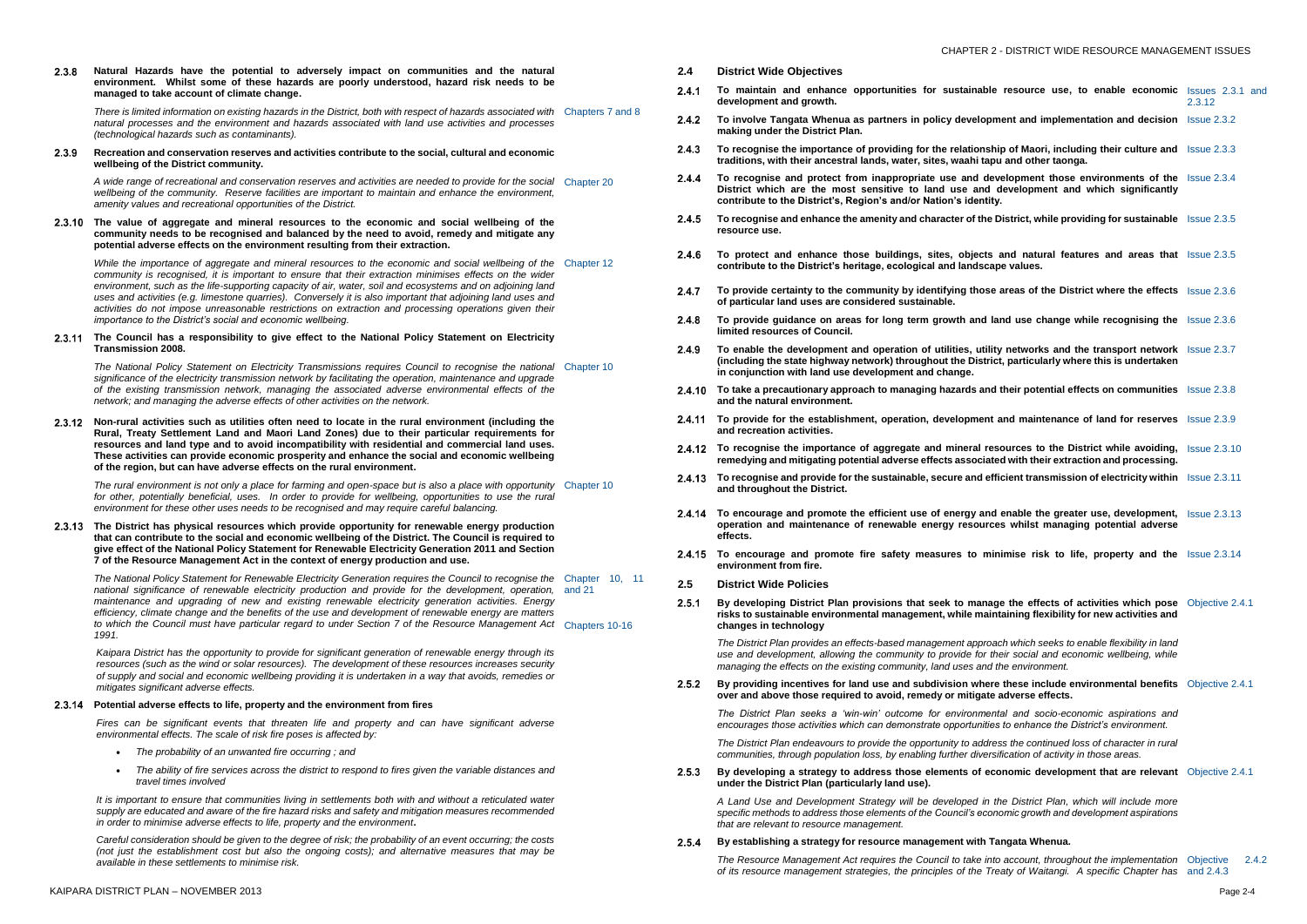## CHAPTER 2 - DISTRICT WIDE RESOURCE MANAGEMENT ISSUES

**Natural Hazards have the potential to adversely impact on communities and the natural**   $2.3.8$ **environment. Whilst some of these hazards are poorly understood, hazard risk needs to be managed to take account of climate change.**

There is limited information on existing hazards in the District, both with respect of hazards associated with Chapters 7 and 8 *natural processes and the environment and hazards associated with land use activities and processes (technological hazards such as contaminants).*

 $2.3.9$ **Recreation and conservation reserves and activities contribute to the social, cultural and economic wellbeing of the District community.**

A wide range of recreational and conservation reserves and activities are needed to provide for the social Chapter 20 *wellbeing of the community. Reserve facilities are important to maintain and enhance the environment, amenity values and recreational opportunities of the District.*

While the importance of aggregate and mineral resources to the economic and social wellbeing of the Chapter 12 *community is recognised, it is important to ensure that their extraction minimises effects on the wider environment, such as the life-supporting capacity of air, water, soil and ecosystems and on adjoining land uses and activities (e.g. limestone quarries). Conversely it is also important that adjoining land uses and activities do not impose unreasonable restrictions on extraction and processing operations given their importance to the District's social and economic wellbeing.*

**The value of aggregate and mineral resources to the economic and social wellbeing of the community needs to be recognised and balanced by the need to avoid, remedy and mitigate any potential adverse effects on the environment resulting from their extraction.**

The National Policy Statement on Electricity Transmissions requires Council to recognise the national Chapter 10 *significance of the electricity transmission network by facilitating the operation, maintenance and upgrade of the existing transmission network, managing the associated adverse environmental effects of the network; and managing the adverse effects of other activities on the network.*

The rural environment is not only a place for farming and open-space but is also a place with opportunity Chapter 10 *for other, potentially beneficial, uses. In order to provide for wellbeing, opportunities to use the rural environment for these other uses needs to be recognised and may require careful balancing.*

### **The Council has a responsibility to give effect to the National Policy Statement on Electricity Transmission 2008.**

**Non-rural activities such as utilities often need to locate in the rural environment (including the Rural, Treaty Settlement Land and Maori Land Zones) due to their particular requirements for resources and land type and to avoid incompatibility with residential and commercial land uses. These activities can provide economic prosperity and enhance the social and economic wellbeing of the region, but can have adverse effects on the rural environment.**

**The District has physical resources which provide opportunity for renewable energy production that can contribute to the social and economic wellbeing of the District. The Council is required to give effect of the National Policy Statement for Renewable Electricity Generation 2011 and Section 7 of the Resource Management Act in the context of energy production and use.**

*The National Policy Statement for Renewable Electricity Generation requires the Council to recognise the*  Chapter 10, 11 national significance of renewable electricity production and provide for the development, operation, and 21 *maintenance and upgrading of new and existing renewable electricity generation activities. Energy efficiency, climate change and the benefits of the use and development of renewable energy are matters to which the Council must have particular regard to under Section 7 of the Resource Management Act*  Chapters 10-16 *1991.*

*Kaipara District has the opportunity to provide for significant generation of renewable energy through its resources (such as the wind or solar resources). The development of these resources increases security of supply and social and economic wellbeing providing it is undertaken in a way that avoids, remedies or mitigates significant adverse effects.*

> *The District Plan endeavours to provide the opportunity to address the continued loss of character in rural communities, through population loss, by enabling further diversification in those areas.*

## **Potential adverse effects to life, property and the environment from fires**

*Fires can be significant events that threaten life and property and can have significant adverse environmental effects. The scale of risk fire poses is affected by:*

> $2.5.3$ By developing a strategy to address those elements of  $\epsilon$ **under the District Plan (particularly land use).**

- *The probability of an unwanted fire occurring ; and*
- *The ability of fire services across the district to respond to fires given the variable distances and travel times involved*

#### $2.5.4$ **By establishing a strategy for resource management with Tangata Whenua.**

*The Resource Management Act requires the Council to take in of its resource management strategies, the principles of the* 

*It is important to ensure that communities living in settlements both with and without a reticulated water supply are educated and aware of the fire hazard risks and safety and mitigation measures recommended in order to minimise adverse effects to life, property and the environment***.**

*Careful consideration should be given to the degree of risk; the probability of an event occurring; the costs (not just the establishment cost but also the ongoing costs); and alternative measures that may be available in these settlements to minimise risk.*

- **2.4 District Wide Objectives**
- To maintain and enhance opportunities for sustainab  $2.4.1$ **development and growth.**
- $2.4.2$ **To involve Tangata Whenua as partners in policy developmentation and implementation and implementation and implementation and implementation and implementation and implementation and developmentation and developmentation making under the District Plan.**
- $2.4.3$ To recognise the importance of providing for the relations **traditions, with their ancestral lands, water, sites, waahi ta**
- **To recognise and protect from inappropriate use and developments**  $2.4.4$ District which are the most sensitive to land use and contribute to the District's, Region's and/or Nation's ident
- **To recognise and enhance the amenity and character of the District**  $2.4.5$ **resource use.**
- 2.4.6 To protect and enhance those buildings, sites, objects contribute to the District's heritage, ecological and landsc
- $2.4.7$ To provide certainty to the community by identifying thos **of particular land uses are considered sustainable.**
- To provide guidance on areas for long term growth and 2.4.8 **limited resources of Council.**
- **2.4.9** To enable the development and operation of utilities, utilly (including the state highway network) throughout the Distriction **in conjunction with land use development and change.**
- **2.4.10 To take a precautionary approach to managing hazards and in the solution of the manufies on Times and the natural environment.**
- **2.4.11 To provide for the establishment, operation, development and recreation activities.**
- 2.4.12 To recognise the importance of aggregate and mineral r remedying and mitigating potential adverse effects association and mitigating potential adverse effects associa
- **2.4.13** To recognise and provide for the sustainable, secure and **and throughout the District.**
- **2.4.14 To encourage and promote the efficient use of energy are all than 14 To encourage and promote the efficient operation and maintenance of renewable energy resour effects.**
- 2.4.15 To encourage and promote fire safety measures to m **environment from fire.**
- **2.5 District Wide Policies**
- $2.5.1$ By developing District Plan provisions that seek to mana risks to sustainable environmental management, while ma **changes in technology**

*The District Plan provides an effects-based management approach seeks the District Plan provides an effects-based management approach seeks to enable fland use and development, allowing the community to provide for managing the effects on the existing community, land uses and the effects on the existing community, land uses and* 

**2.5.2** By providing incentives for land use and subdivision where  $\theta$ **over and above those required to avoid, remedy or mitigat** 

> *The District Plan seeks a 'win-win' outcome for environme* encourages those activities which can demonstrate opportunities

| ble resource use, to enable economic Issues 2.3.1 and                                                              | 2.3.12                  |
|--------------------------------------------------------------------------------------------------------------------|-------------------------|
| pment and implementation and decision Issue 2.3.2                                                                  |                         |
| ship of Maori, including their culture and Issue 2.3.3<br>apu and other taonga.                                    |                         |
| development those environments of the<br>d development and which significantly<br>tity.                            | $\textsf{lssue}\,2.3.4$ |
| e District, while providing for sustainable Issue 2.3.5                                                            |                         |
| <b>s and natural features and areas that</b> Issue 2.3.5<br>cape values.                                           |                         |
| se areas of the District where the effects                                                                         | <b>Saue 2.3.6</b>       |
| land use change while recognising the Issue 2.3.6                                                                  |                         |
| lity networks and the transport network Issue 2.3.7<br>rict, particularly where this is undertaken                 |                         |
| nd their potential effects on communities Issue 2.3.8                                                              |                         |
| <b>nt and maintenance of land for reserves</b> Issue 2.3.9                                                         |                         |
| resources to the District while avoiding,<br>ated with their extraction and processing.                            | <b>Issue 2.3.10</b>     |
| <b>efficient transmission of electricity within</b> Issue 2.3.11                                                   |                         |
| nd enable the greater use, development,<br>rces whilst managing potential adverse                                  | <b>Issue 2.3.13</b>     |
| <b>ninimise risk to life, property and the</b> Issue 2.3.14                                                        |                         |
| age the effects of activities which pose<br>aintaining flexibility for new activities and                          | Objective 2.4.1         |
| oach which seeks to enable flexibility in land<br>their social and economic wellbeing, while<br>d the environment. |                         |
| ere these include environmental benefits Objective 2.4.1<br>te adverse effects.                                    |                         |
| ental and socio-economic aspirations and<br>ties to enhance the District's environment.                            |                         |
| dress the continued loss of character in rural<br>ersification of activity in those areas.                         |                         |
| economic development that are relevant Objective 2.4.1                                                             |                         |
| n the District Plan, which will include more<br>onomic growth and development aspirations                          |                         |
| <b>Tangata Whenua</b>                                                                                              |                         |

*A Land Use and Development Strategy will be developed in the District Plan, which will include more specific methods to address those elements of the Council's economic growth that are relevant to resource management.*

| nto account, throughout the implementation Objective | 2.4.2 |
|------------------------------------------------------|-------|
| Treaty of Waitangi. A specific Chapter has and 2.4.3 |       |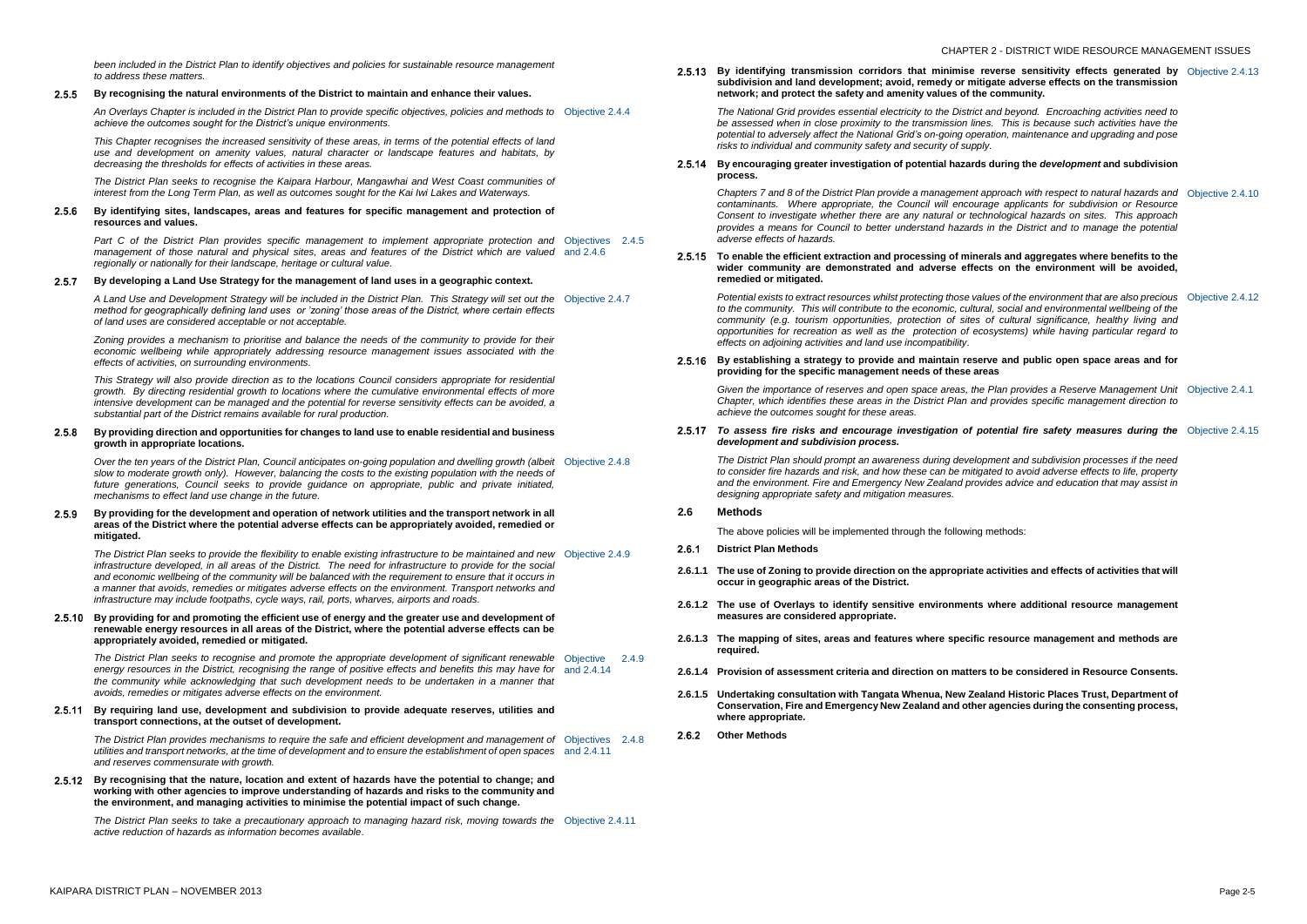#### **By recognising the natural environments of the District to maintain and enhance their values.**  $2.5.5$

*been included in the District Plan to identify objectives and policies for sustainable resource management to address these matters.* 

*An Overlays Chapter is included in the District Plan to provide specific objectives, policies and methods to*  Objective 2.4.4 *achieve the outcomes sought for the District's unique environments.*

#### $2.5.6$ **By identifying sites, landscapes, areas and features for specific management and protection of resources and values.**

*This Chapter recognises the increased sensitivity of these areas, in terms of the potential effects of land use and development on amenity values, natural character or landscape features and habitats, by decreasing the thresholds for effects of activities in these areas.*

Part C of the District Plan provides specific management to implement appropriate protection and Objectives 2.4.5 *management of those natural and physical sites, areas and features of the District which are valued*  and 2.4.6 *regionally or nationally for their landscape, heritage or cultural value.*

#### **By developing a Land Use Strategy for the management of land uses in a geographic context.**  $2.5.7$

*The District Plan seeks to recognise the Kaipara Harbour, Mangawhai and West Coast communities of interest from the Long Term Plan, as well as outcomes sought for the Kai Iwi Lakes and Waterways.*

Over the ten years of the District Plan, Council anticipates on-going population and dwelling growth (albeit Objective 2.4.8 *slow to moderate growth only). However, balancing the costs to the existing population with the needs of future generations, Council seeks to provide guidance on appropriate, public and private initiated, mechanisms to effect land use change in the future.*

#### $2.5.9$ **By providing for the development and operation of network utilities and the transport network in all areas of the District where the potential adverse effects can be appropriately avoided, remedied or mitigated.**

*A Land Use and Development Strategy will be included in the District Plan. This Strategy will set out the*  Objective 2.4.7 *method for geographically defining land uses or 'zoning' those areas of the District, where certain effects of land uses are considered acceptable or not acceptable.*

*Zoning provides a mechanism to prioritise and balance the needs of the community to provide for their economic wellbeing while appropriately addressing resource management issues associated with the effects of activities, on surrounding environments.*

The District Plan seeks to recognise and promote the appropriate development of significant renewable Objective 2.4.9 energy resources in the District, recognising the range of positive effects and benefits this may have for and 2.4.14 *the community while acknowledging that such development needs to be undertaken in a manner that avoids, remedies or mitigates adverse effects on the environment.* 

*This Strategy will also provide direction as to the locations Council considers appropriate for residential growth. By directing residential growth to locations where the cumulative environmental effects of more intensive development can be managed and the potential for reverse sensitivity effects can be avoided, a substantial part of the District remains available for rural production.*

#### **By providing direction and opportunities for changes to land use to enable residential and business**   $2.5.8$ **growth in appropriate locations.**

The District Plan seeks to take a precautionary approach to managing hazard risk, moving towards the Objective 2.4.11 *active reduction of hazards as information becomes available*.

**2.5.13** By identifying transmission corridors that minimise re subdivision and land development; avoid, remedy or mitig **network; and protect the safety and amenity values of the community.**

> *The National Grid provides essential electricity to the District be assessed when in close proximity to the transmission lines potential to adversely affect the National Grid's on-going operation, maintenance and upgrading and pose risks to individual and community safety and security of supply.*

#### **2.5.14** By encouraging greater investigation of potential hazards **process.**

*Chapters 7 and 8 of the District Plan provide a management ap* contaminants. Where appropriate, the Council will encoura *Consent to investigate whether there are any natural or tech provides a means for Council to better understand hazards adverse effects of hazards.*

#### **2.5.15 To enable the efficient extraction and processing of minerals and aggregates where** wider community are demonstrated and adverse effects **remedied or mitigated.**

*The District Plan seeks to provide the flexibility to enable existing infrastructure to be maintained and new*  Objective 2.4.9 *infrastructure developed, in all areas of the District. The need for infrastructure to provide for the social*  and economic wellbeing of the community will be balanced with the requirement to ensure that it occurs in *a manner that avoids, remedies or mitigates adverse effects on the environment. Transport networks and infrastructure may include footpaths, cycle ways, rail, ports, wharves, airports and roads.* 

*Potential exists to extract resources whilst protecting those values to the community. This will contribute to the economic, cultural community (e.g. tourism opportunities, protection of sites opportunities for recreation as well as the protection of ecosystems) while having particular regard to effects on adjoining activities and land use incompatibility.*

#### **2.5.16** By establishing a strategy to provide and maintain reser **providing for the specific management needs of these areas**

*Given the importance of reserves and open space areas, the Chapter, which identifies these areas in the District Plan and achieve the outcomes sought for these areas.* 

### **By providing for and promoting the efficient use of energy and the greater use and development of renewable energy resources in all areas of the District, where the potential adverse effects can be appropriately avoided, remedied or mitigated.**

#### 2.5.17 To assess fire risks and encourage investigation of potential fire *ne* assess fire risks and encourage investigation of potential *development and subdivision process.*

*The District Plan should prompt an awareness during development and processes if the District Plan should prompt to consider fire hazards and risk, and how these can be mitigated to consider fire hazards and risk, and how these can be mitiga* and the environment. Fire and Emergency New Zealand provident *designing appropriate safety and mitigation measures.*

**By requiring land use, development and subdivision to provide adequate reserves, utilities and transport connections, at the outset of development.**

- 261 **District Plan Methods**
- **2.6.1.1 The use of Zoning to provide direction on the appropriate activities and effects of activities that will occur in geographic areas of the District.**
- **2.6.1.2 The use of Overlays to identify sensitive environments where additional resource management measures are considered appropriate.**
- **2.6.1.3 The mapping of sites, areas and features where specific resource management and methods are required.**
- **2.6.1.4 Provision of assessment criteria and direction on matters to be considered in Resource Consents.**
- **2.6.1.5 Undertaking consultation with Tangata Whenua, New Zealand Historic Places Trust, Department of Conservation, Fire and Emergency New Zealand and other agencies during the consenting process, where appropriate.**
- **Other Methods**

*The District Plan provides mechanisms to require the safe and efficient development and management of*  Objectives 2.4.8 *utilities and transport networks, at the time of development and to ensure the establishment of open spaces*  and 2.4.11 *and reserves commensurate with growth.*

**By recognising that the nature, location and extent of hazards have the potential to change; and working with other agencies to improve understanding of hazards and risks to the community and the environment, and managing activities to minimise the potential impact of such change.**

| everse sensitivity effects generated by Objective 2.4.13<br>gate adverse effects on the transmission<br>community.                                                                            |                  |
|-----------------------------------------------------------------------------------------------------------------------------------------------------------------------------------------------|------------------|
| and beyond. Encroaching activities need to<br>s. This is because such activities have the<br>ation, maintenance and upgrading and pose<br>γ.                                                  |                  |
| during the development and subdivision                                                                                                                                                        |                  |
| pproach with respect to natural hazards and<br>age applicants for subdivision or Resource<br>nnological hazards on sites. This approach<br>in the District and to manage the potential        | Objective 2.4.10 |
| rals and aggregates where benefits to the<br>ts on the environment will be avoided,                                                                                                           |                  |
| ues of the environment that are also precious<br>al, social and environmental wellbeing of the<br>of cultural significance, healthy living and<br>osystems) while having particular regard to | Objective 2.4.12 |
| ve and public open space areas and for<br>eas                                                                                                                                                 |                  |
| Plan provides a Reserve Management Unit<br>I provides specific management direction to                                                                                                        | Objective 2.4.1  |
| <b>otential fire safety measures during the</b> Objective 2.4.15                                                                                                                              |                  |
| oment and subdivision processes if the need<br>ated to avoid adverse effects to life, property<br>ides advice and education that may assist in                                                |                  |

## **2.6 Methods**

The above policies will be implemented through the following methods: